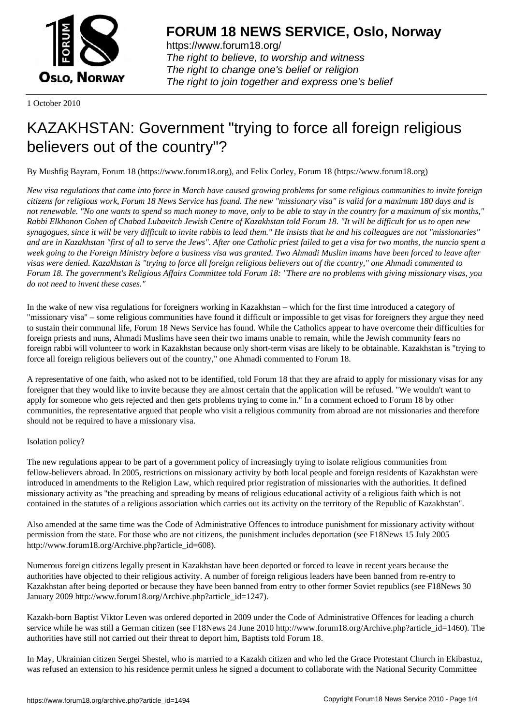

https://www.forum18.org/ The right to believe, to worship and witness The right to change one's belief or religion [The right to join together a](https://www.forum18.org/)nd express one's belief

1 October 2010

# [KAZAKHSTAN:](https://www.forum18.org) Government "trying to force all foreign religious believers out of the country"?

By Mushfig Bayram, Forum 18 (https://www.forum18.org), and Felix Corley, Forum 18 (https://www.forum18.org)

*New visa regulations that came into force in March have caused growing problems for some religious communities to invite foreign citizens for religious work, Forum 18 News Service has found. The new "missionary visa" is valid for a maximum 180 days and is not renewable. "No one wants to spend so much money to move, only to be able to stay in the country for a maximum of six months," Rabbi Elkhonon Cohen of Chabad Lubavitch Jewish Centre of Kazakhstan told Forum 18. "It will be difficult for us to open new synagogues, since it will be very difficult to invite rabbis to lead them." He insists that he and his colleagues are not "missionaries" and are in Kazakhstan "first of all to serve the Jews". After one Catholic priest failed to get a visa for two months, the nuncio spent a week going to the Foreign Ministry before a business visa was granted. Two Ahmadi Muslim imams have been forced to leave after visas were denied. Kazakhstan is "trying to force all foreign religious believers out of the country," one Ahmadi commented to Forum 18. The government's Religious Affairs Committee told Forum 18: "There are no problems with giving missionary visas, you do not need to invent these cases."*

In the wake of new visa regulations for foreigners working in Kazakhstan – which for the first time introduced a category of "missionary visa" – some religious communities have found it difficult or impossible to get visas for foreigners they argue they need to sustain their communal life, Forum 18 News Service has found. While the Catholics appear to have overcome their difficulties for foreign priests and nuns, Ahmadi Muslims have seen their two imams unable to remain, while the Jewish community fears no foreign rabbi will volunteer to work in Kazakhstan because only short-term visas are likely to be obtainable. Kazakhstan is "trying to force all foreign religious believers out of the country," one Ahmadi commented to Forum 18.

A representative of one faith, who asked not to be identified, told Forum 18 that they are afraid to apply for missionary visas for any foreigner that they would like to invite because they are almost certain that the application will be refused. "We wouldn't want to apply for someone who gets rejected and then gets problems trying to come in." In a comment echoed to Forum 18 by other communities, the representative argued that people who visit a religious community from abroad are not missionaries and therefore should not be required to have a missionary visa.

## Isolation policy?

The new regulations appear to be part of a government policy of increasingly trying to isolate religious communities from fellow-believers abroad. In 2005, restrictions on missionary activity by both local people and foreign residents of Kazakhstan were introduced in amendments to the Religion Law, which required prior registration of missionaries with the authorities. It defined missionary activity as "the preaching and spreading by means of religious educational activity of a religious faith which is not contained in the statutes of a religious association which carries out its activity on the territory of the Republic of Kazakhstan".

Also amended at the same time was the Code of Administrative Offences to introduce punishment for missionary activity without permission from the state. For those who are not citizens, the punishment includes deportation (see F18News 15 July 2005 http://www.forum18.org/Archive.php?article\_id=608).

Numerous foreign citizens legally present in Kazakhstan have been deported or forced to leave in recent years because the authorities have objected to their religious activity. A number of foreign religious leaders have been banned from re-entry to Kazakhstan after being deported or because they have been banned from entry to other former Soviet republics (see F18News 30 January 2009 http://www.forum18.org/Archive.php?article\_id=1247).

Kazakh-born Baptist Viktor Leven was ordered deported in 2009 under the Code of Administrative Offences for leading a church service while he was still a German citizen (see F18News 24 June 2010 http://www.forum18.org/Archive.php?article\_id=1460). The authorities have still not carried out their threat to deport him, Baptists told Forum 18.

In May, Ukrainian citizen Sergei Shestel, who is married to a Kazakh citizen and who led the Grace Protestant Church in Ekibastuz, was refused an extension to his residence permit unless he signed a document to collaborate with the National Security Committee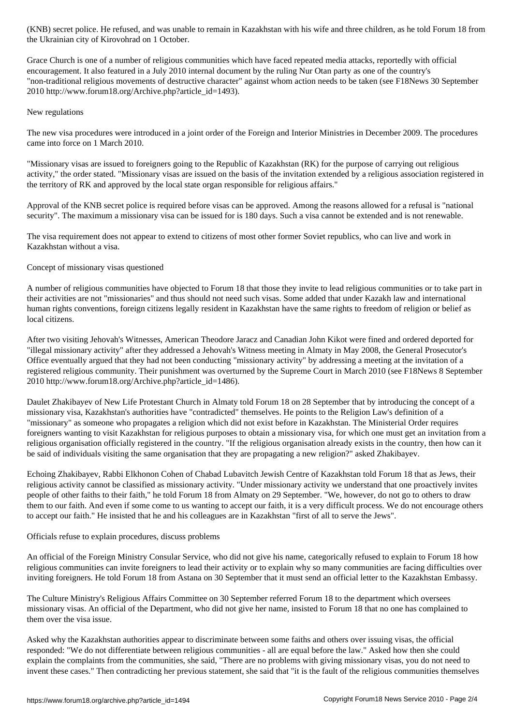Grace Church is one of a number of religious communities which have faced repeated media attacks, reportedly with official encouragement. It also featured in a July 2010 internal document by the ruling Nur Otan party as one of the country's "non-traditional religious movements of destructive character" against whom action needs to be taken (see F18News 30 September 2010 http://www.forum18.org/Archive.php?article\_id=1493).

## New regulations

The new visa procedures were introduced in a joint order of the Foreign and Interior Ministries in December 2009. The procedures came into force on 1 March 2010.

"Missionary visas are issued to foreigners going to the Republic of Kazakhstan (RK) for the purpose of carrying out religious activity," the order stated. "Missionary visas are issued on the basis of the invitation extended by a religious association registered in the territory of RK and approved by the local state organ responsible for religious affairs."

Approval of the KNB secret police is required before visas can be approved. Among the reasons allowed for a refusal is "national security". The maximum a missionary visa can be issued for is 180 days. Such a visa cannot be extended and is not renewable.

The visa requirement does not appear to extend to citizens of most other former Soviet republics, who can live and work in Kazakhstan without a visa.

## Concept of missionary visas questioned

 $\mathcal{L}$  the Ukrainian city of  $\mathcal{L}$ 

A number of religious communities have objected to Forum 18 that those they invite to lead religious communities or to take part in their activities are not "missionaries" and thus should not need such visas. Some added that under Kazakh law and international human rights conventions, foreign citizens legally resident in Kazakhstan have the same rights to freedom of religion or belief as local citizens.

After two visiting Jehovah's Witnesses, American Theodore Jaracz and Canadian John Kikot were fined and ordered deported for "illegal missionary activity" after they addressed a Jehovah's Witness meeting in Almaty in May 2008, the General Prosecutor's Office eventually argued that they had not been conducting "missionary activity" by addressing a meeting at the invitation of a registered religious community. Their punishment was overturned by the Supreme Court in March 2010 (see F18News 8 September 2010 http://www.forum18.org/Archive.php?article\_id=1486).

Daulet Zhakibayev of New Life Protestant Church in Almaty told Forum 18 on 28 September that by introducing the concept of a missionary visa, Kazakhstan's authorities have "contradicted" themselves. He points to the Religion Law's definition of a "missionary" as someone who propagates a religion which did not exist before in Kazakhstan. The Ministerial Order requires foreigners wanting to visit Kazakhstan for religious purposes to obtain a missionary visa, for which one must get an invitation from a religious organisation officially registered in the country. "If the religious organisation already exists in the country, then how can it be said of individuals visiting the same organisation that they are propagating a new religion?" asked Zhakibayev.

Echoing Zhakibayev, Rabbi Elkhonon Cohen of Chabad Lubavitch Jewish Centre of Kazakhstan told Forum 18 that as Jews, their religious activity cannot be classified as missionary activity. "Under missionary activity we understand that one proactively invites people of other faiths to their faith," he told Forum 18 from Almaty on 29 September. "We, however, do not go to others to draw them to our faith. And even if some come to us wanting to accept our faith, it is a very difficult process. We do not encourage others to accept our faith." He insisted that he and his colleagues are in Kazakhstan "first of all to serve the Jews".

## Officials refuse to explain procedures, discuss problems

An official of the Foreign Ministry Consular Service, who did not give his name, categorically refused to explain to Forum 18 how religious communities can invite foreigners to lead their activity or to explain why so many communities are facing difficulties over inviting foreigners. He told Forum 18 from Astana on 30 September that it must send an official letter to the Kazakhstan Embassy.

The Culture Ministry's Religious Affairs Committee on 30 September referred Forum 18 to the department which oversees missionary visas. An official of the Department, who did not give her name, insisted to Forum 18 that no one has complained to them over the visa issue.

Asked why the Kazakhstan authorities appear to discriminate between some faiths and others over issuing visas, the official responded: "We do not differentiate between religious communities - all are equal before the law." Asked how then she could explain the complaints from the communities, she said, "There are no problems with giving missionary visas, you do not need to invent these cases." Then contradicting her previous statement, she said that "it is the fault of the religious communities themselves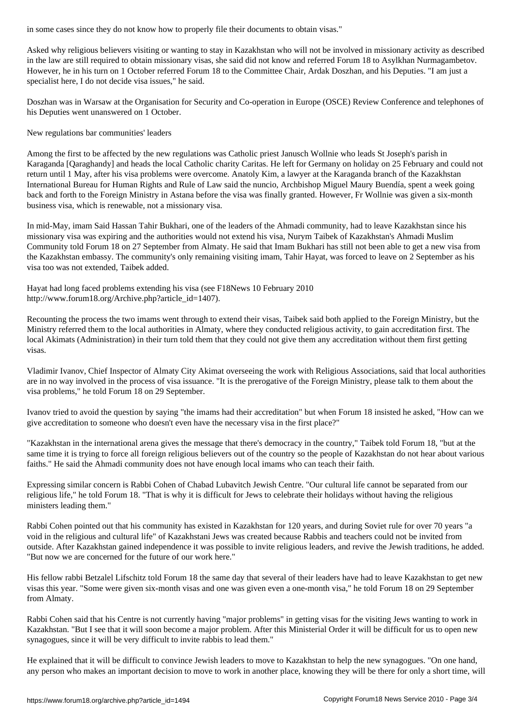Asked why religious believers visiting or wanting to stay in Kazakhstan who will not be involved in missionary activity as described in the law are still required to obtain missionary visas, she said did not know and referred Forum 18 to Asylkhan Nurmagambetov. However, he in his turn on 1 October referred Forum 18 to the Committee Chair, Ardak Doszhan, and his Deputies. "I am just a specialist here, I do not decide visa issues," he said.

Doszhan was in Warsaw at the Organisation for Security and Co-operation in Europe (OSCE) Review Conference and telephones of his Deputies went unanswered on 1 October.

New regulations bar communities' leaders

Among the first to be affected by the new regulations was Catholic priest Janusch Wollnie who leads St Joseph's parish in Karaganda [Qaraghandy] and heads the local Catholic charity Caritas. He left for Germany on holiday on 25 February and could not return until 1 May, after his visa problems were overcome. Anatoly Kim, a lawyer at the Karaganda branch of the Kazakhstan International Bureau for Human Rights and Rule of Law said the nuncio, Archbishop Miguel Maury Buendía, spent a week going back and forth to the Foreign Ministry in Astana before the visa was finally granted. However, Fr Wollnie was given a six-month business visa, which is renewable, not a missionary visa.

In mid-May, imam Said Hassan Tahir Bukhari, one of the leaders of the Ahmadi community, had to leave Kazakhstan since his missionary visa was expiring and the authorities would not extend his visa, Nurym Taibek of Kazakhstan's Ahmadi Muslim Community told Forum 18 on 27 September from Almaty. He said that Imam Bukhari has still not been able to get a new visa from the Kazakhstan embassy. The community's only remaining visiting imam, Tahir Hayat, was forced to leave on 2 September as his visa too was not extended, Taibek added.

Hayat had long faced problems extending his visa (see F18News 10 February 2010 http://www.forum18.org/Archive.php?article\_id=1407).

Recounting the process the two imams went through to extend their visas, Taibek said both applied to the Foreign Ministry, but the Ministry referred them to the local authorities in Almaty, where they conducted religious activity, to gain accreditation first. The local Akimats (Administration) in their turn told them that they could not give them any accreditation without them first getting visas.

Vladimir Ivanov, Chief Inspector of Almaty City Akimat overseeing the work with Religious Associations, said that local authorities are in no way involved in the process of visa issuance. "It is the prerogative of the Foreign Ministry, please talk to them about the visa problems," he told Forum 18 on 29 September.

Ivanov tried to avoid the question by saying "the imams had their accreditation" but when Forum 18 insisted he asked, "How can we give accreditation to someone who doesn't even have the necessary visa in the first place?"

"Kazakhstan in the international arena gives the message that there's democracy in the country," Taibek told Forum 18, "but at the same time it is trying to force all foreign religious believers out of the country so the people of Kazakhstan do not hear about various faiths." He said the Ahmadi community does not have enough local imams who can teach their faith.

Expressing similar concern is Rabbi Cohen of Chabad Lubavitch Jewish Centre. "Our cultural life cannot be separated from our religious life," he told Forum 18. "That is why it is difficult for Jews to celebrate their holidays without having the religious ministers leading them."

Rabbi Cohen pointed out that his community has existed in Kazakhstan for 120 years, and during Soviet rule for over 70 years "a void in the religious and cultural life" of Kazakhstani Jews was created because Rabbis and teachers could not be invited from outside. After Kazakhstan gained independence it was possible to invite religious leaders, and revive the Jewish traditions, he added. "But now we are concerned for the future of our work here."

His fellow rabbi Betzalel Lifschitz told Forum 18 the same day that several of their leaders have had to leave Kazakhstan to get new visas this year. "Some were given six-month visas and one was given even a one-month visa," he told Forum 18 on 29 September from Almaty.

Rabbi Cohen said that his Centre is not currently having "major problems" in getting visas for the visiting Jews wanting to work in Kazakhstan. "But I see that it will soon become a major problem. After this Ministerial Order it will be difficult for us to open new synagogues, since it will be very difficult to invite rabbis to lead them."

He explained that it will be difficult to convince Jewish leaders to move to Kazakhstan to help the new synagogues. "On one hand, any person who makes an important decision to move to work in another place, knowing they will be there for only a short time, will